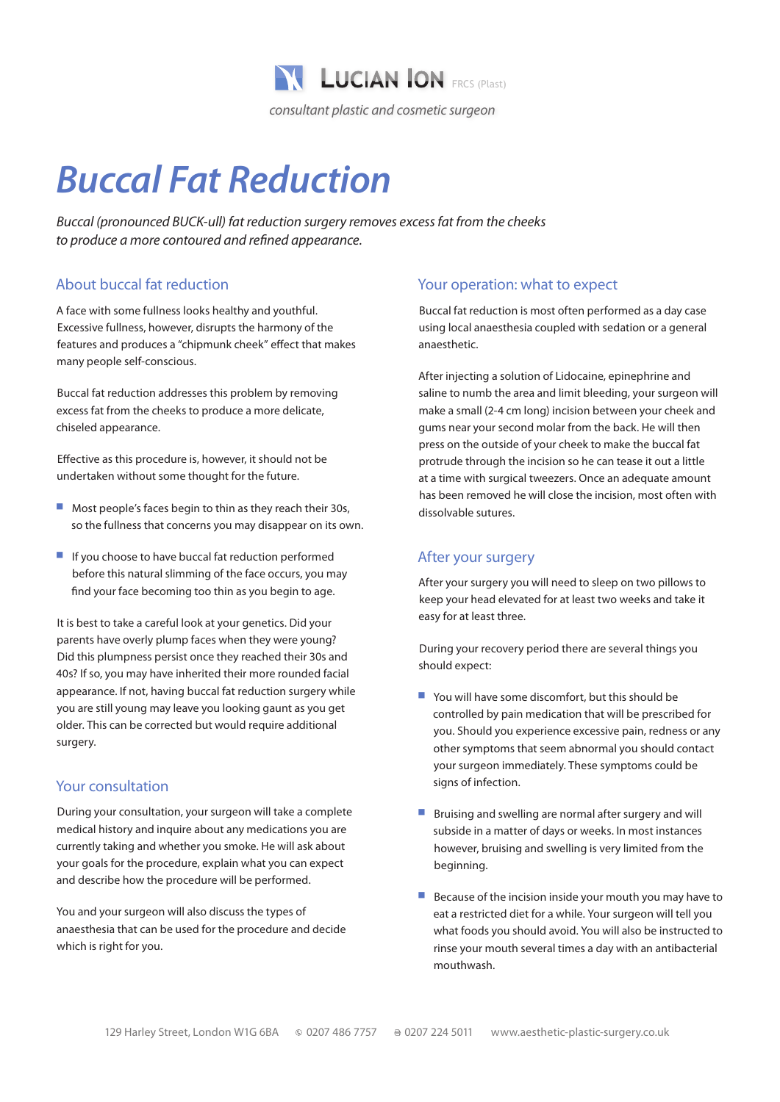

# *Buccal Fat Reduction*

*Buccal (pronounced BUCK-ull) fat reduction surgery removes excess fat from the cheeks to produce a more contoured and refined appearance.*

# About buccal fat reduction

A face with some fullness looks healthy and youthful. Excessive fullness, however, disrupts the harmony of the features and produces a "chipmunk cheek" effect that makes many people self-conscious.

Buccal fat reduction addresses this problem by removing excess fat from the cheeks to produce a more delicate, chiseled appearance.

Effective as this procedure is, however, it should not be undertaken without some thought for the future.

- Most people's faces begin to thin as they reach their 30s, so the fullness that concerns you may disappear on its own.
- $\blacksquare$  If you choose to have buccal fat reduction performed before this natural slimming of the face occurs, you may find your face becoming too thin as you begin to age.

It is best to take a careful look at your genetics. Did your parents have overly plump faces when they were young? Did this plumpness persist once they reached their 30s and 40s? If so, you may have inherited their more rounded facial appearance. If not, having buccal fat reduction surgery while you are still young may leave you looking gaunt as you get older. This can be corrected but would require additional surgery.

#### Your consultation

During your consultation, your surgeon will take a complete medical history and inquire about any medications you are currently taking and whether you smoke. He will ask about your goals for the procedure, explain what you can expect and describe how the procedure will be performed.

You and your surgeon will also discuss the types of anaesthesia that can be used for the procedure and decide which is right for you.

### Your operation: what to expect

Buccal fat reduction is most often performed as a day case using local anaesthesia coupled with sedation or a general anaesthetic.

After injecting a solution of Lidocaine, epinephrine and saline to numb the area and limit bleeding, your surgeon will make a small (2-4 cm long) incision between your cheek and gums near your second molar from the back. He will then press on the outside of your cheek to make the buccal fat protrude through the incision so he can tease it out a little at a time with surgical tweezers. Once an adequate amount has been removed he will close the incision, most often with dissolvable sutures.

# After your surgery

After your surgery you will need to sleep on two pillows to keep your head elevated for at least two weeks and take it easy for at least three.

During your recovery period there are several things you should expect:

- $\blacksquare$  You will have some discomfort, but this should be controlled by pain medication that will be prescribed for you. Should you experience excessive pain, redness or any other symptoms that seem abnormal you should contact your surgeon immediately. These symptoms could be signs of infection.
- Bruising and swelling are normal after surgery and will subside in a matter of days or weeks. In most instances however, bruising and swelling is very limited from the beginning.
- $\blacksquare$  Because of the incision inside your mouth you may have to eat a restricted diet for a while. Your surgeon will tell you what foods you should avoid. You will also be instructed to rinse your mouth several times a day with an antibacterial mouthwash.